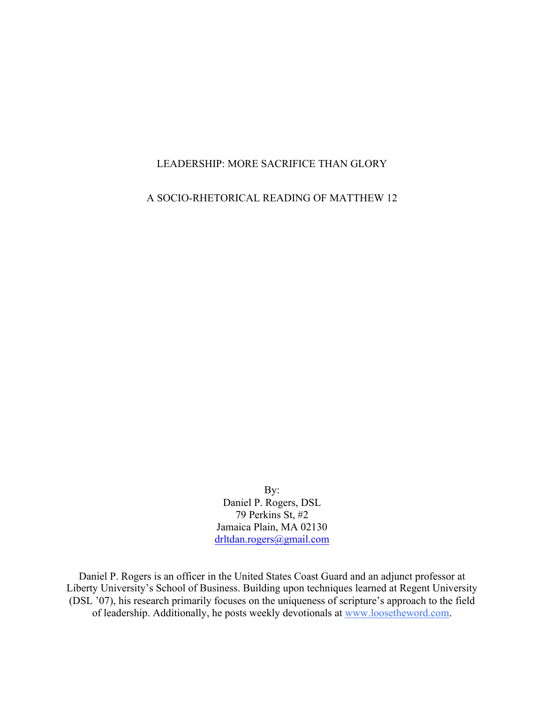# LEADERSHIP: MORE SACRIFICE THAN GLORY

A SOCIO-RHETORICAL READING OF MATTHEW 12

By: Daniel P. Rogers, DSL 79 Perkins St, #2 Jamaica Plain, MA 02130 drltdan.rogers@gmail.com

Daniel P. Rogers is an officer in the United States Coast Guard and an adjunct professor at Liberty University's School of Business. Building upon techniques learned at Regent University (DSL '07), his research primarily focuses on the uniqueness of scripture's approach to the field of leadership. Additionally, he posts weekly devotionals at www.loosetheword.com.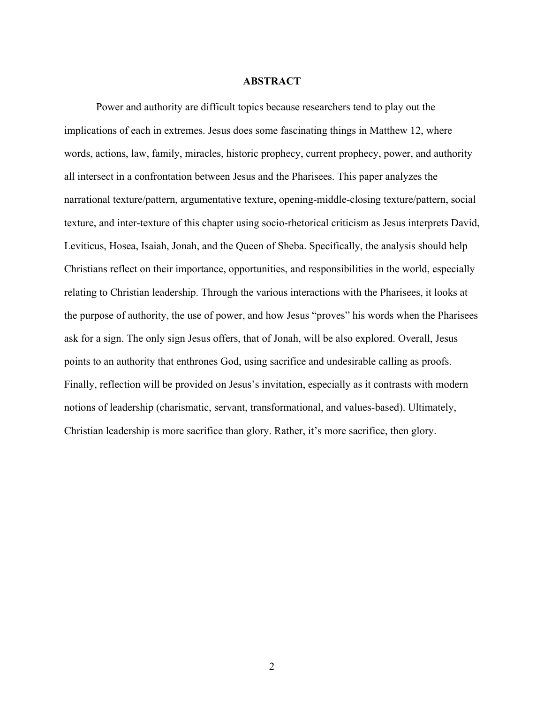## **ABSTRACT**

Power and authority are difficult topics because researchers tend to play out the implications of each in extremes. Jesus does some fascinating things in Matthew 12, where words, actions, law, family, miracles, historic prophecy, current prophecy, power, and authority all intersect in a confrontation between Jesus and the Pharisees. This paper analyzes the narrational texture/pattern, argumentative texture, opening-middle-closing texture/pattern, social texture, and inter-texture of this chapter using socio-rhetorical criticism as Jesus interprets David, Leviticus, Hosea, Isaiah, Jonah, and the Queen of Sheba. Specifically, the analysis should help Christians reflect on their importance, opportunities, and responsibilities in the world, especially relating to Christian leadership. Through the various interactions with the Pharisees, it looks at the purpose of authority, the use of power, and how Jesus "proves" his words when the Pharisees ask for a sign. The only sign Jesus offers, that of Jonah, will be also explored. Overall, Jesus points to an authority that enthrones God, using sacrifice and undesirable calling as proofs. Finally, reflection will be provided on Jesus's invitation, especially as it contrasts with modern notions of leadership (charismatic, servant, transformational, and values-based). Ultimately, Christian leadership is more sacrifice than glory. Rather, it's more sacrifice, then glory.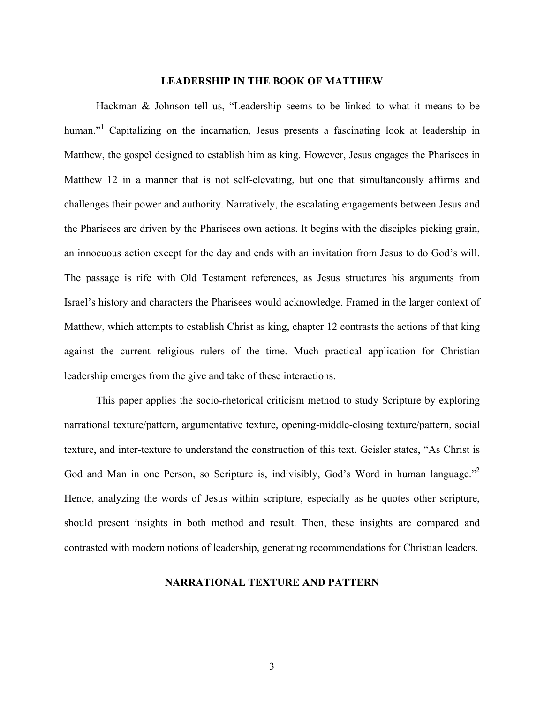# **LEADERSHIP IN THE BOOK OF MATTHEW**

Hackman & Johnson tell us, "Leadership seems to be linked to what it means to be human."<sup>1</sup> Capitalizing on the incarnation, Jesus presents a fascinating look at leadership in Matthew, the gospel designed to establish him as king. However, Jesus engages the Pharisees in Matthew 12 in a manner that is not self-elevating, but one that simultaneously affirms and challenges their power and authority. Narratively, the escalating engagements between Jesus and the Pharisees are driven by the Pharisees own actions. It begins with the disciples picking grain, an innocuous action except for the day and ends with an invitation from Jesus to do God's will. The passage is rife with Old Testament references, as Jesus structures his arguments from Israel's history and characters the Pharisees would acknowledge. Framed in the larger context of Matthew, which attempts to establish Christ as king, chapter 12 contrasts the actions of that king against the current religious rulers of the time. Much practical application for Christian leadership emerges from the give and take of these interactions.

This paper applies the socio-rhetorical criticism method to study Scripture by exploring narrational texture/pattern, argumentative texture, opening-middle-closing texture/pattern, social texture, and inter-texture to understand the construction of this text. Geisler states, "As Christ is God and Man in one Person, so Scripture is, indivisibly, God's Word in human language."<sup>2</sup> Hence, analyzing the words of Jesus within scripture, especially as he quotes other scripture, should present insights in both method and result. Then, these insights are compared and contrasted with modern notions of leadership, generating recommendations for Christian leaders.

# **NARRATIONAL TEXTURE AND PATTERN**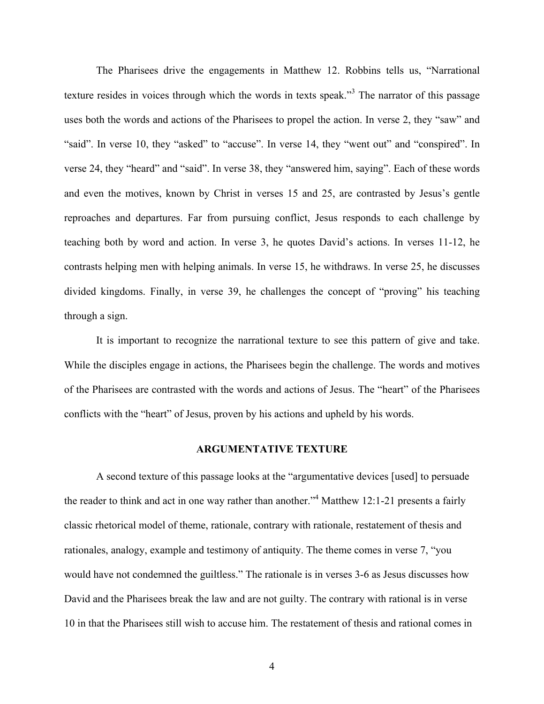The Pharisees drive the engagements in Matthew 12. Robbins tells us, "Narrational texture resides in voices through which the words in texts speak."<sup>3</sup> The narrator of this passage uses both the words and actions of the Pharisees to propel the action. In verse 2, they "saw" and "said". In verse 10, they "asked" to "accuse". In verse 14, they "went out" and "conspired". In verse 24, they "heard" and "said". In verse 38, they "answered him, saying". Each of these words and even the motives, known by Christ in verses 15 and 25, are contrasted by Jesus's gentle reproaches and departures. Far from pursuing conflict, Jesus responds to each challenge by teaching both by word and action. In verse 3, he quotes David's actions. In verses 11-12, he contrasts helping men with helping animals. In verse 15, he withdraws. In verse 25, he discusses divided kingdoms. Finally, in verse 39, he challenges the concept of "proving" his teaching through a sign.

It is important to recognize the narrational texture to see this pattern of give and take. While the disciples engage in actions, the Pharisees begin the challenge. The words and motives of the Pharisees are contrasted with the words and actions of Jesus. The "heart" of the Pharisees conflicts with the "heart" of Jesus, proven by his actions and upheld by his words.

## **ARGUMENTATIVE TEXTURE**

A second texture of this passage looks at the "argumentative devices [used] to persuade the reader to think and act in one way rather than another."4 Matthew 12:1-21 presents a fairly classic rhetorical model of theme, rationale, contrary with rationale, restatement of thesis and rationales, analogy, example and testimony of antiquity. The theme comes in verse 7, "you would have not condemned the guiltless." The rationale is in verses 3-6 as Jesus discusses how David and the Pharisees break the law and are not guilty. The contrary with rational is in verse 10 in that the Pharisees still wish to accuse him. The restatement of thesis and rational comes in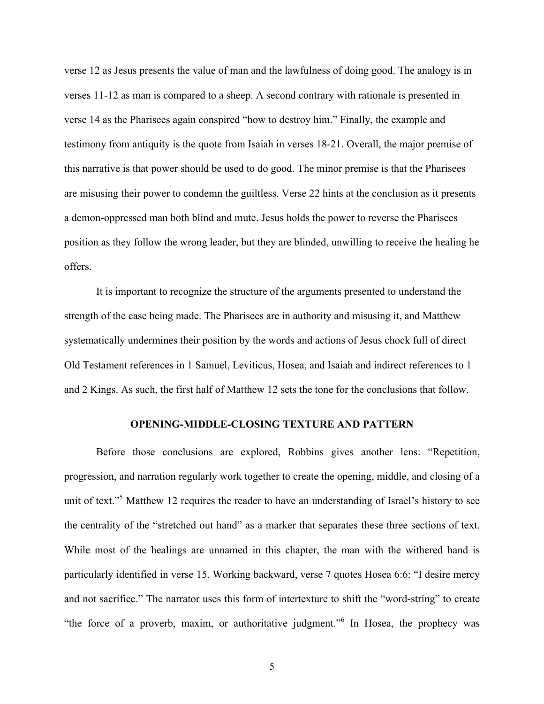verse 12 as Jesus presents the value of man and the lawfulness of doing good. The analogy is in verses 11-12 as man is compared to a sheep. A second contrary with rationale is presented in verse 14 as the Pharisees again conspired "how to destroy him." Finally, the example and testimony from antiquity is the quote from Isaiah in verses 18-21. Overall, the major premise of this narrative is that power should be used to do good. The minor premise is that the Pharisees are misusing their power to condemn the guiltless. Verse 22 hints at the conclusion as it presents a demon-oppressed man both blind and mute. Jesus holds the power to reverse the Pharisees position as they follow the wrong leader, but they are blinded, unwilling to receive the healing he offers.

It is important to recognize the structure of the arguments presented to understand the strength of the case being made. The Pharisees are in authority and misusing it, and Matthew systematically undermines their position by the words and actions of Jesus chock full of direct Old Testament references in 1 Samuel, Leviticus, Hosea, and Isaiah and indirect references to 1 and 2 Kings. As such, the first half of Matthew 12 sets the tone for the conclusions that follow.

### **OPENING-MIDDLE-CLOSING TEXTURE AND PATTERN**

Before those conclusions are explored, Robbins gives another lens: "Repetition, progression, and narration regularly work together to create the opening, middle, and closing of a unit of text."<sup>5</sup> Matthew 12 requires the reader to have an understanding of Israel's history to see the centrality of the "stretched out hand" as a marker that separates these three sections of text. While most of the healings are unnamed in this chapter, the man with the withered hand is particularly identified in verse 15. Working backward, verse 7 quotes Hosea 6:6: "I desire mercy and not sacrifice." The narrator uses this form of intertexture to shift the "word-string" to create "the force of a proverb, maxim, or authoritative judgment."<sup>6</sup> In Hosea, the prophecy was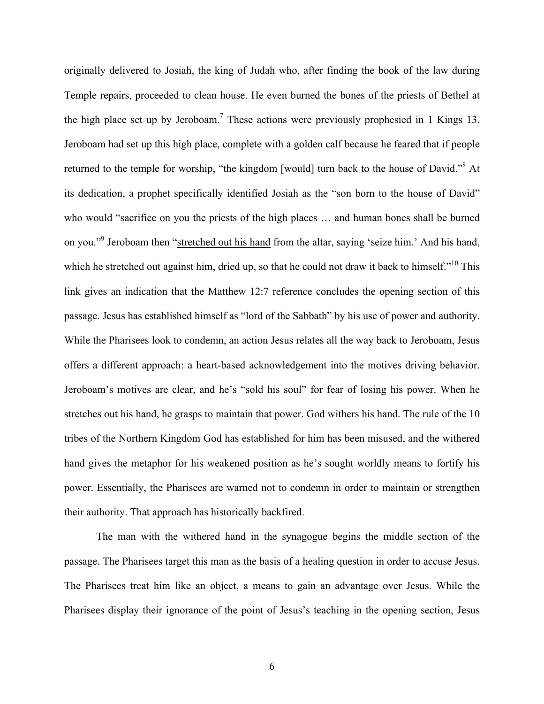originally delivered to Josiah, the king of Judah who, after finding the book of the law during Temple repairs, proceeded to clean house. He even burned the bones of the priests of Bethel at the high place set up by Jeroboam.<sup>7</sup> These actions were previously prophesied in 1 Kings 13. Jeroboam had set up this high place, complete with a golden calf because he feared that if people returned to the temple for worship, "the kingdom [would] turn back to the house of David."8 At its dedication, a prophet specifically identified Josiah as the "son born to the house of David" who would "sacrifice on you the priests of the high places ... and human bones shall be burned on you."9 Jeroboam then "stretched out his hand from the altar, saying 'seize him.' And his hand, which he stretched out against him, dried up, so that he could not draw it back to himself."<sup>10</sup> This link gives an indication that the Matthew 12:7 reference concludes the opening section of this passage. Jesus has established himself as "lord of the Sabbath" by his use of power and authority. While the Pharisees look to condemn, an action Jesus relates all the way back to Jeroboam, Jesus offers a different approach: a heart-based acknowledgement into the motives driving behavior. Jeroboam's motives are clear, and he's "sold his soul" for fear of losing his power. When he stretches out his hand, he grasps to maintain that power. God withers his hand. The rule of the 10 tribes of the Northern Kingdom God has established for him has been misused, and the withered hand gives the metaphor for his weakened position as he's sought worldly means to fortify his power. Essentially, the Pharisees are warned not to condemn in order to maintain or strengthen their authority. That approach has historically backfired.

The man with the withered hand in the synagogue begins the middle section of the passage. The Pharisees target this man as the basis of a healing question in order to accuse Jesus. The Pharisees treat him like an object, a means to gain an advantage over Jesus. While the Pharisees display their ignorance of the point of Jesus's teaching in the opening section, Jesus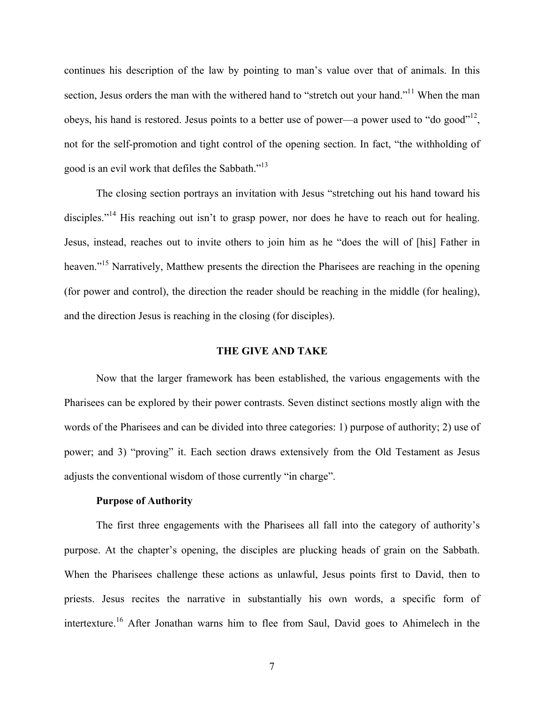continues his description of the law by pointing to man's value over that of animals. In this section, Jesus orders the man with the withered hand to "stretch out your hand."<sup>11</sup> When the man obeys, his hand is restored. Jesus points to a better use of power—a power used to "do good"<sup>12</sup>, not for the self-promotion and tight control of the opening section. In fact, "the withholding of good is an evil work that defiles the Sabbath."13

The closing section portrays an invitation with Jesus "stretching out his hand toward his disciples."<sup>14</sup> His reaching out isn't to grasp power, nor does he have to reach out for healing. Jesus, instead, reaches out to invite others to join him as he "does the will of [his] Father in heaven."<sup>15</sup> Narratively, Matthew presents the direction the Pharisees are reaching in the opening (for power and control), the direction the reader should be reaching in the middle (for healing), and the direction Jesus is reaching in the closing (for disciples).

## **THE GIVE AND TAKE**

Now that the larger framework has been established, the various engagements with the Pharisees can be explored by their power contrasts. Seven distinct sections mostly align with the words of the Pharisees and can be divided into three categories: 1) purpose of authority; 2) use of power; and 3) "proving" it. Each section draws extensively from the Old Testament as Jesus adjusts the conventional wisdom of those currently "in charge".

## **Purpose of Authority**

The first three engagements with the Pharisees all fall into the category of authority's purpose. At the chapter's opening, the disciples are plucking heads of grain on the Sabbath. When the Pharisees challenge these actions as unlawful, Jesus points first to David, then to priests. Jesus recites the narrative in substantially his own words, a specific form of intertexture.<sup>16</sup> After Jonathan warns him to flee from Saul, David goes to Ahimelech in the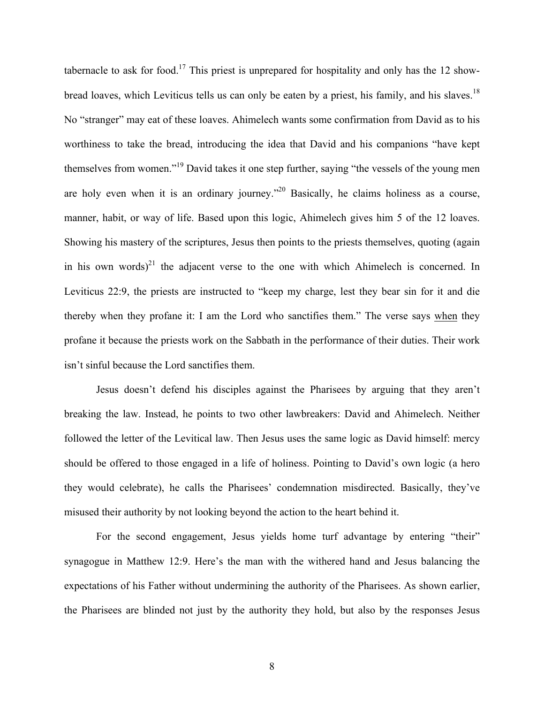tabernacle to ask for food.<sup>17</sup> This priest is unprepared for hospitality and only has the 12 showbread loaves, which Leviticus tells us can only be eaten by a priest, his family, and his slaves.<sup>18</sup> No "stranger" may eat of these loaves. Ahimelech wants some confirmation from David as to his worthiness to take the bread, introducing the idea that David and his companions "have kept themselves from women."<sup>19</sup> David takes it one step further, saying "the vessels of the young men are holy even when it is an ordinary journey."<sup>20</sup> Basically, he claims holiness as a course, manner, habit, or way of life. Based upon this logic, Ahimelech gives him 5 of the 12 loaves. Showing his mastery of the scriptures, Jesus then points to the priests themselves, quoting (again in his own words)<sup>21</sup> the adjacent verse to the one with which Ahimelech is concerned. In Leviticus 22:9, the priests are instructed to "keep my charge, lest they bear sin for it and die thereby when they profane it: I am the Lord who sanctifies them." The verse says when they profane it because the priests work on the Sabbath in the performance of their duties. Their work isn't sinful because the Lord sanctifies them.

Jesus doesn't defend his disciples against the Pharisees by arguing that they aren't breaking the law. Instead, he points to two other lawbreakers: David and Ahimelech. Neither followed the letter of the Levitical law. Then Jesus uses the same logic as David himself: mercy should be offered to those engaged in a life of holiness. Pointing to David's own logic (a hero they would celebrate), he calls the Pharisees' condemnation misdirected. Basically, they've misused their authority by not looking beyond the action to the heart behind it.

For the second engagement, Jesus yields home turf advantage by entering "their" synagogue in Matthew 12:9. Here's the man with the withered hand and Jesus balancing the expectations of his Father without undermining the authority of the Pharisees. As shown earlier, the Pharisees are blinded not just by the authority they hold, but also by the responses Jesus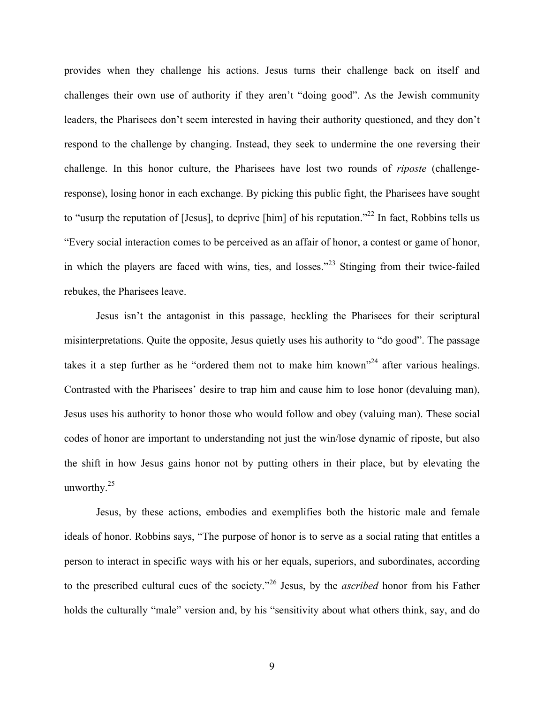provides when they challenge his actions. Jesus turns their challenge back on itself and challenges their own use of authority if they aren't "doing good". As the Jewish community leaders, the Pharisees don't seem interested in having their authority questioned, and they don't respond to the challenge by changing. Instead, they seek to undermine the one reversing their challenge. In this honor culture, the Pharisees have lost two rounds of *riposte* (challengeresponse), losing honor in each exchange. By picking this public fight, the Pharisees have sought to "usurp the reputation of [Jesus], to deprive [him] of his reputation."<sup>22</sup> In fact, Robbins tells us "Every social interaction comes to be perceived as an affair of honor, a contest or game of honor, in which the players are faced with wins, ties, and losses."<sup>23</sup> Stinging from their twice-failed rebukes, the Pharisees leave.

Jesus isn't the antagonist in this passage, heckling the Pharisees for their scriptural misinterpretations. Quite the opposite, Jesus quietly uses his authority to "do good". The passage takes it a step further as he "ordered them not to make him known"<sup>24</sup> after various healings. Contrasted with the Pharisees' desire to trap him and cause him to lose honor (devaluing man), Jesus uses his authority to honor those who would follow and obey (valuing man). These social codes of honor are important to understanding not just the win/lose dynamic of riposte, but also the shift in how Jesus gains honor not by putting others in their place, but by elevating the unworthy.<sup>25</sup>

Jesus, by these actions, embodies and exemplifies both the historic male and female ideals of honor. Robbins says, "The purpose of honor is to serve as a social rating that entitles a person to interact in specific ways with his or her equals, superiors, and subordinates, according to the prescribed cultural cues of the society."<sup>26</sup> Jesus, by the *ascribed* honor from his Father holds the culturally "male" version and, by his "sensitivity about what others think, say, and do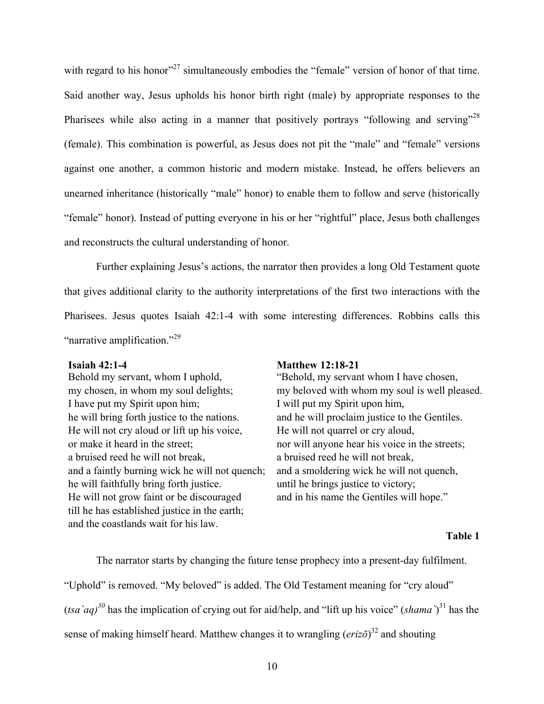with regard to his honor<sup>327</sup> simultaneously embodies the "female" version of honor of that time. Said another way, Jesus upholds his honor birth right (male) by appropriate responses to the Pharisees while also acting in a manner that positively portrays "following and serving"<sup>28</sup> (female). This combination is powerful, as Jesus does not pit the "male" and "female" versions against one another, a common historic and modern mistake. Instead, he offers believers an unearned inheritance (historically "male" honor) to enable them to follow and serve (historically "female" honor). Instead of putting everyone in his or her "rightful" place, Jesus both challenges and reconstructs the cultural understanding of honor.

Further explaining Jesus's actions, the narrator then provides a long Old Testament quote that gives additional clarity to the authority interpretations of the first two interactions with the Pharisees. Jesus quotes Isaiah 42:1-4 with some interesting differences. Robbins calls this "narrative amplification."<sup>29</sup>

Behold my servant, whom I uphold, "Behold, my servant whom I have chosen, I have put my Spirit upon him; I will put my Spirit upon him, he will bring forth justice to the nations. and he will proclaim justice to the Gentiles. He will not cry aloud or lift up his voice, He will not quarrel or cry aloud, or make it heard in the street; nor will anyone hear his voice in the streets; a bruised reed he will not break, a bruised reed he will not break, and a faintly burning wick he will not quench; and a smoldering wick he will not quench, he will faithfully bring forth justice. until he brings justice to victory; He will not grow faint or be discouraged and in his name the Gentiles will hope." till he has established justice in the earth; and the coastlands wait for his law.

# **Isaiah 42:1-4 Matthew 12:18-21**

my chosen, in whom my soul delights; my beloved with whom my soul is well pleased.

# **Table 1**

The narrator starts by changing the future tense prophecy into a present-day fulfilment. "Uphold" is removed. "My beloved" is added. The Old Testament meaning for "cry aloud"  $(tsa\hat{a}q)^{30}$  has the implication of crying out for aid/help, and "lift up his voice" (*shama*)<sup>31</sup> has the sense of making himself heard. Matthew changes it to wrangling (*erizō*) <sup>32</sup> and shouting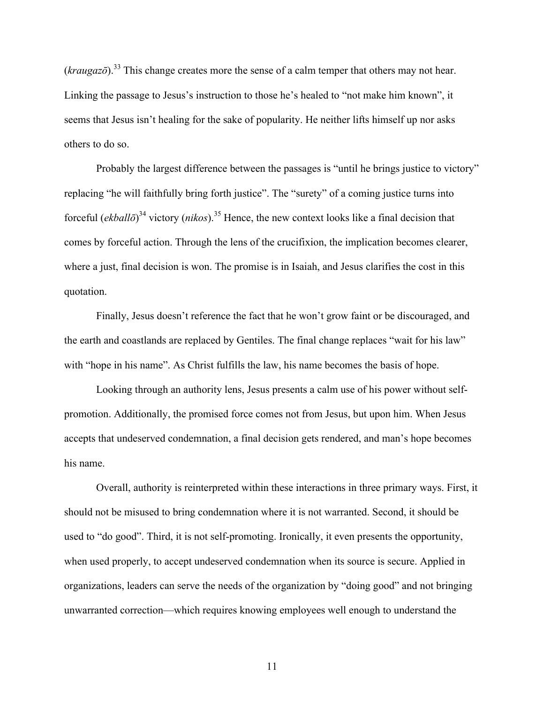$(kraugaz\bar{o})$ <sup>33</sup>. This change creates more the sense of a calm temper that others may not hear. Linking the passage to Jesus's instruction to those he's healed to "not make him known", it seems that Jesus isn't healing for the sake of popularity. He neither lifts himself up nor asks others to do so.

Probably the largest difference between the passages is "until he brings justice to victory" replacing "he will faithfully bring forth justice". The "surety" of a coming justice turns into forceful (*ekballō*) <sup>34</sup> victory (*nikos*). <sup>35</sup> Hence, the new context looks like a final decision that comes by forceful action. Through the lens of the crucifixion, the implication becomes clearer, where a just, final decision is won. The promise is in Isaiah, and Jesus clarifies the cost in this quotation.

Finally, Jesus doesn't reference the fact that he won't grow faint or be discouraged, and the earth and coastlands are replaced by Gentiles. The final change replaces "wait for his law" with "hope in his name". As Christ fulfills the law, his name becomes the basis of hope.

Looking through an authority lens, Jesus presents a calm use of his power without selfpromotion. Additionally, the promised force comes not from Jesus, but upon him. When Jesus accepts that undeserved condemnation, a final decision gets rendered, and man's hope becomes his name.

Overall, authority is reinterpreted within these interactions in three primary ways. First, it should not be misused to bring condemnation where it is not warranted. Second, it should be used to "do good". Third, it is not self-promoting. Ironically, it even presents the opportunity, when used properly, to accept undeserved condemnation when its source is secure. Applied in organizations, leaders can serve the needs of the organization by "doing good" and not bringing unwarranted correction—which requires knowing employees well enough to understand the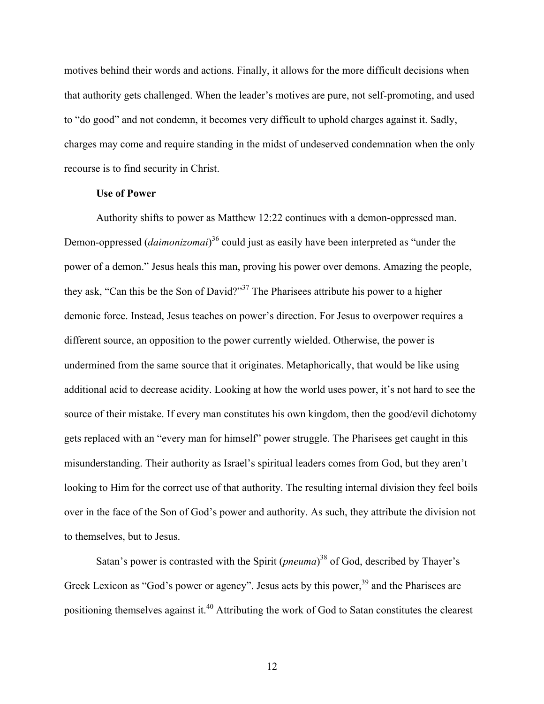motives behind their words and actions. Finally, it allows for the more difficult decisions when that authority gets challenged. When the leader's motives are pure, not self-promoting, and used to "do good" and not condemn, it becomes very difficult to uphold charges against it. Sadly, charges may come and require standing in the midst of undeserved condemnation when the only recourse is to find security in Christ.

# **Use of Power**

Authority shifts to power as Matthew 12:22 continues with a demon-oppressed man. Demon-oppressed (*daimonizomai*) <sup>36</sup> could just as easily have been interpreted as "under the power of a demon." Jesus heals this man, proving his power over demons. Amazing the people, they ask, "Can this be the Son of David?"<sup>37</sup> The Pharisees attribute his power to a higher demonic force. Instead, Jesus teaches on power's direction. For Jesus to overpower requires a different source, an opposition to the power currently wielded. Otherwise, the power is undermined from the same source that it originates. Metaphorically, that would be like using additional acid to decrease acidity. Looking at how the world uses power, it's not hard to see the source of their mistake. If every man constitutes his own kingdom, then the good/evil dichotomy gets replaced with an "every man for himself" power struggle. The Pharisees get caught in this misunderstanding. Their authority as Israel's spiritual leaders comes from God, but they aren't looking to Him for the correct use of that authority. The resulting internal division they feel boils over in the face of the Son of God's power and authority. As such, they attribute the division not to themselves, but to Jesus.

Satan's power is contrasted with the Spirit (*pneuma*)<sup>38</sup> of God, described by Thayer's Greek Lexicon as "God's power or agency". Jesus acts by this power,<sup>39</sup> and the Pharisees are positioning themselves against it.<sup>40</sup> Attributing the work of God to Satan constitutes the clearest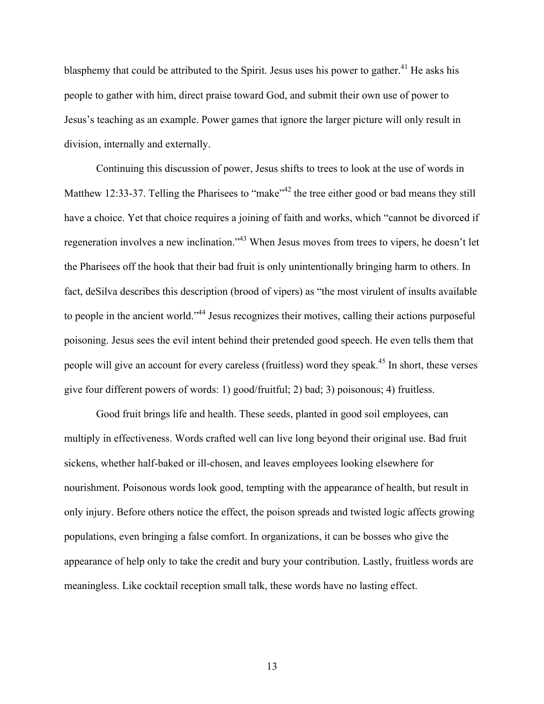blasphemy that could be attributed to the Spirit. Jesus uses his power to gather.<sup>41</sup> He asks his people to gather with him, direct praise toward God, and submit their own use of power to Jesus's teaching as an example. Power games that ignore the larger picture will only result in division, internally and externally.

Continuing this discussion of power, Jesus shifts to trees to look at the use of words in Matthew 12:33-37. Telling the Pharisees to "make"<sup>42</sup> the tree either good or bad means they still have a choice. Yet that choice requires a joining of faith and works, which "cannot be divorced if regeneration involves a new inclination."43 When Jesus moves from trees to vipers, he doesn't let the Pharisees off the hook that their bad fruit is only unintentionally bringing harm to others. In fact, deSilva describes this description (brood of vipers) as "the most virulent of insults available to people in the ancient world.<sup>344</sup> Jesus recognizes their motives, calling their actions purposeful poisoning. Jesus sees the evil intent behind their pretended good speech. He even tells them that people will give an account for every careless (fruitless) word they speak.<sup>45</sup> In short, these verses give four different powers of words: 1) good/fruitful; 2) bad; 3) poisonous; 4) fruitless.

Good fruit brings life and health. These seeds, planted in good soil employees, can multiply in effectiveness. Words crafted well can live long beyond their original use. Bad fruit sickens, whether half-baked or ill-chosen, and leaves employees looking elsewhere for nourishment. Poisonous words look good, tempting with the appearance of health, but result in only injury. Before others notice the effect, the poison spreads and twisted logic affects growing populations, even bringing a false comfort. In organizations, it can be bosses who give the appearance of help only to take the credit and bury your contribution. Lastly, fruitless words are meaningless. Like cocktail reception small talk, these words have no lasting effect.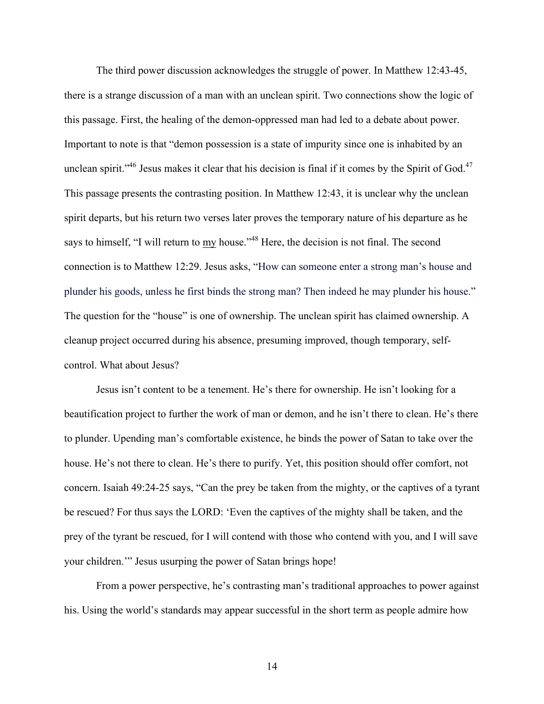The third power discussion acknowledges the struggle of power. In Matthew 12:43-45, there is a strange discussion of a man with an unclean spirit. Two connections show the logic of this passage. First, the healing of the demon-oppressed man had led to a debate about power. Important to note is that "demon possession is a state of impurity since one is inhabited by an unclean spirit."<sup>46</sup> Jesus makes it clear that his decision is final if it comes by the Spirit of God.<sup>47</sup> This passage presents the contrasting position. In Matthew 12:43, it is unclear why the unclean spirit departs, but his return two verses later proves the temporary nature of his departure as he says to himself, "I will return to my house."<sup>48</sup> Here, the decision is not final. The second connection is to Matthew 12:29. Jesus asks, "How can someone enter a strong man's house and plunder his goods, unless he first binds the strong man? Then indeed he may plunder his house." The question for the "house" is one of ownership. The unclean spirit has claimed ownership. A cleanup project occurred during his absence, presuming improved, though temporary, selfcontrol. What about Jesus?

Jesus isn't content to be a tenement. He's there for ownership. He isn't looking for a beautification project to further the work of man or demon, and he isn't there to clean. He's there to plunder. Upending man's comfortable existence, he binds the power of Satan to take over the house. He's not there to clean. He's there to purify. Yet, this position should offer comfort, not concern. Isaiah 49:24-25 says, "Can the prey be taken from the mighty, or the captives of a tyrant be rescued? For thus says the LORD: 'Even the captives of the mighty shall be taken, and the prey of the tyrant be rescued, for I will contend with those who contend with you, and I will save your children.'" Jesus usurping the power of Satan brings hope!

From a power perspective, he's contrasting man's traditional approaches to power against his. Using the world's standards may appear successful in the short term as people admire how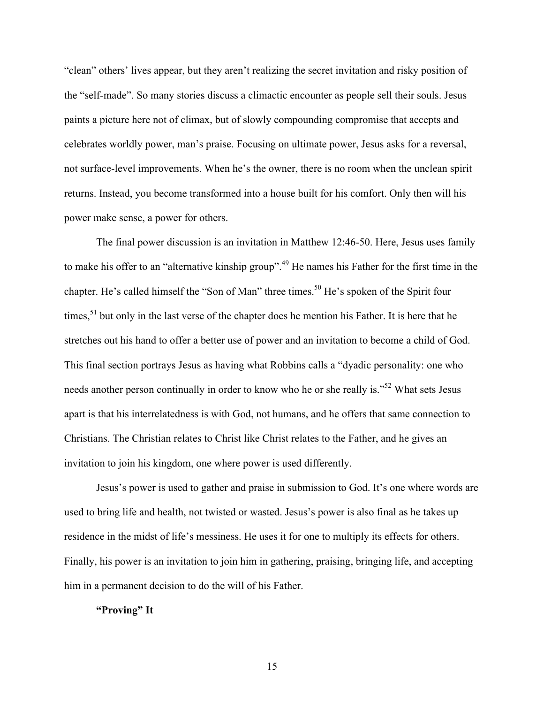"clean" others' lives appear, but they aren't realizing the secret invitation and risky position of the "self-made". So many stories discuss a climactic encounter as people sell their souls. Jesus paints a picture here not of climax, but of slowly compounding compromise that accepts and celebrates worldly power, man's praise. Focusing on ultimate power, Jesus asks for a reversal, not surface-level improvements. When he's the owner, there is no room when the unclean spirit returns. Instead, you become transformed into a house built for his comfort. Only then will his power make sense, a power for others.

The final power discussion is an invitation in Matthew 12:46-50. Here, Jesus uses family to make his offer to an "alternative kinship group".<sup>49</sup> He names his Father for the first time in the chapter. He's called himself the "Son of Man" three times.<sup>50</sup> He's spoken of the Spirit four times,  $51$  but only in the last verse of the chapter does he mention his Father. It is here that he stretches out his hand to offer a better use of power and an invitation to become a child of God. This final section portrays Jesus as having what Robbins calls a "dyadic personality: one who needs another person continually in order to know who he or she really is."<sup>52</sup> What sets Jesus apart is that his interrelatedness is with God, not humans, and he offers that same connection to Christians. The Christian relates to Christ like Christ relates to the Father, and he gives an invitation to join his kingdom, one where power is used differently.

Jesus's power is used to gather and praise in submission to God. It's one where words are used to bring life and health, not twisted or wasted. Jesus's power is also final as he takes up residence in the midst of life's messiness. He uses it for one to multiply its effects for others. Finally, his power is an invitation to join him in gathering, praising, bringing life, and accepting him in a permanent decision to do the will of his Father.

# **"Proving" It**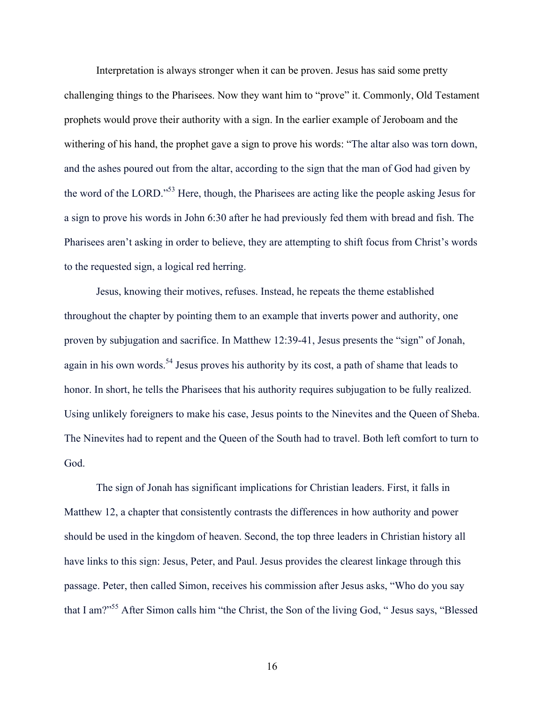Interpretation is always stronger when it can be proven. Jesus has said some pretty challenging things to the Pharisees. Now they want him to "prove" it. Commonly, Old Testament prophets would prove their authority with a sign. In the earlier example of Jeroboam and the withering of his hand, the prophet gave a sign to prove his words: "The altar also was torn down, and the ashes poured out from the altar, according to the sign that the man of God had given by the word of the LORD."53 Here, though, the Pharisees are acting like the people asking Jesus for a sign to prove his words in John 6:30 after he had previously fed them with bread and fish. The Pharisees aren't asking in order to believe, they are attempting to shift focus from Christ's words to the requested sign, a logical red herring.

Jesus, knowing their motives, refuses. Instead, he repeats the theme established throughout the chapter by pointing them to an example that inverts power and authority, one proven by subjugation and sacrifice. In Matthew 12:39-41, Jesus presents the "sign" of Jonah, again in his own words.<sup>54</sup> Jesus proves his authority by its cost, a path of shame that leads to honor. In short, he tells the Pharisees that his authority requires subjugation to be fully realized. Using unlikely foreigners to make his case, Jesus points to the Ninevites and the Queen of Sheba. The Ninevites had to repent and the Queen of the South had to travel. Both left comfort to turn to God.

The sign of Jonah has significant implications for Christian leaders. First, it falls in Matthew 12, a chapter that consistently contrasts the differences in how authority and power should be used in the kingdom of heaven. Second, the top three leaders in Christian history all have links to this sign: Jesus, Peter, and Paul. Jesus provides the clearest linkage through this passage. Peter, then called Simon, receives his commission after Jesus asks, "Who do you say that I am?"55 After Simon calls him "the Christ, the Son of the living God, " Jesus says, "Blessed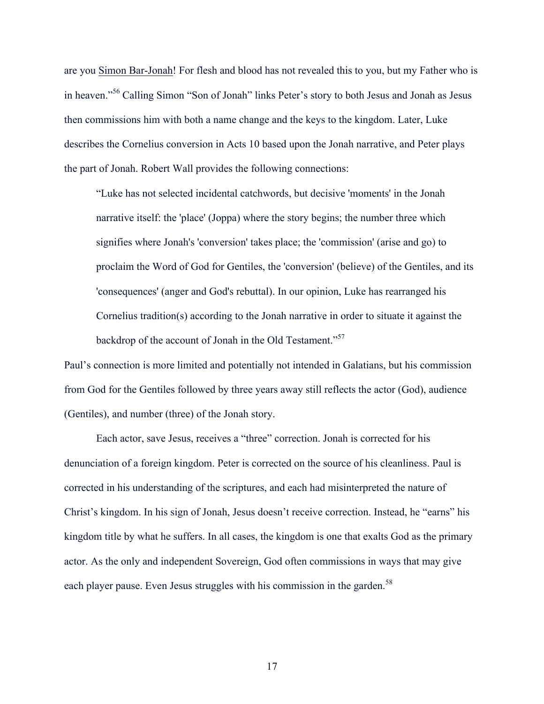are you Simon Bar-Jonah! For flesh and blood has not revealed this to you, but my Father who is in heaven."<sup>56</sup> Calling Simon "Son of Jonah" links Peter's story to both Jesus and Jonah as Jesus then commissions him with both a name change and the keys to the kingdom. Later, Luke describes the Cornelius conversion in Acts 10 based upon the Jonah narrative, and Peter plays the part of Jonah. Robert Wall provides the following connections:

"Luke has not selected incidental catchwords, but decisive 'moments' in the Jonah narrative itself: the 'place' (Joppa) where the story begins; the number three which signifies where Jonah's 'conversion' takes place; the 'commission' (arise and go) to proclaim the Word of God for Gentiles, the 'conversion' (believe) of the Gentiles, and its 'consequences' (anger and God's rebuttal). In our opinion, Luke has rearranged his Cornelius tradition(s) according to the Jonah narrative in order to situate it against the backdrop of the account of Jonah in the Old Testament."<sup>57</sup>

Paul's connection is more limited and potentially not intended in Galatians, but his commission from God for the Gentiles followed by three years away still reflects the actor (God), audience (Gentiles), and number (three) of the Jonah story.

Each actor, save Jesus, receives a "three" correction. Jonah is corrected for his denunciation of a foreign kingdom. Peter is corrected on the source of his cleanliness. Paul is corrected in his understanding of the scriptures, and each had misinterpreted the nature of Christ's kingdom. In his sign of Jonah, Jesus doesn't receive correction. Instead, he "earns" his kingdom title by what he suffers. In all cases, the kingdom is one that exalts God as the primary actor. As the only and independent Sovereign, God often commissions in ways that may give each player pause. Even Jesus struggles with his commission in the garden.<sup>58</sup>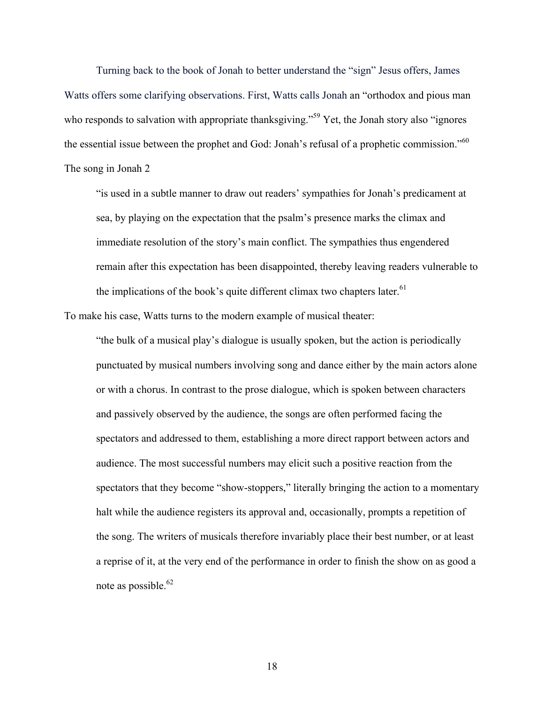Turning back to the book of Jonah to better understand the "sign" Jesus offers, James Watts offers some clarifying observations. First, Watts calls Jonah an "orthodox and pious man who responds to salvation with appropriate thanksgiving."<sup>59</sup> Yet, the Jonah story also "ignores" the essential issue between the prophet and God: Jonah's refusal of a prophetic commission."<sup>60</sup>

# The song in Jonah 2

"is used in a subtle manner to draw out readers' sympathies for Jonah's predicament at sea, by playing on the expectation that the psalm's presence marks the climax and immediate resolution of the story's main conflict. The sympathies thus engendered remain after this expectation has been disappointed, thereby leaving readers vulnerable to the implications of the book's quite different climax two chapters later.<sup>61</sup>

To make his case, Watts turns to the modern example of musical theater:

"the bulk of a musical play's dialogue is usually spoken, but the action is periodically punctuated by musical numbers involving song and dance either by the main actors alone or with a chorus. In contrast to the prose dialogue, which is spoken between characters and passively observed by the audience, the songs are often performed facing the spectators and addressed to them, establishing a more direct rapport between actors and audience. The most successful numbers may elicit such a positive reaction from the spectators that they become "show-stoppers," literally bringing the action to a momentary halt while the audience registers its approval and, occasionally, prompts a repetition of the song. The writers of musicals therefore invariably place their best number, or at least a reprise of it, at the very end of the performance in order to finish the show on as good a note as possible.<sup>62</sup>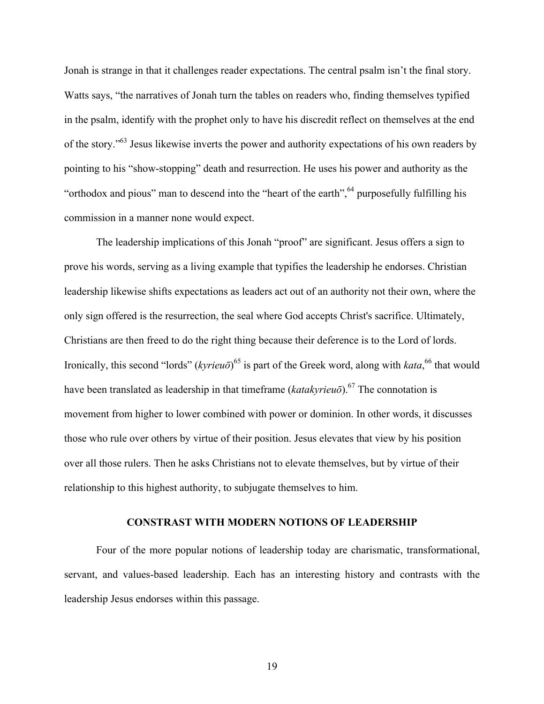Jonah is strange in that it challenges reader expectations. The central psalm isn't the final story. Watts says, "the narratives of Jonah turn the tables on readers who, finding themselves typified in the psalm, identify with the prophet only to have his discredit reflect on themselves at the end of the story."63 Jesus likewise inverts the power and authority expectations of his own readers by pointing to his "show-stopping" death and resurrection. He uses his power and authority as the "orthodox and pious" man to descend into the "heart of the earth",  $64$  purposefully fulfilling his commission in a manner none would expect.

The leadership implications of this Jonah "proof" are significant. Jesus offers a sign to prove his words, serving as a living example that typifies the leadership he endorses. Christian leadership likewise shifts expectations as leaders act out of an authority not their own, where the only sign offered is the resurrection, the seal where God accepts Christ's sacrifice. Ultimately, Christians are then freed to do the right thing because their deference is to the Lord of lords. Ironically, this second "lords" (*kyrieuō*)<sup>65</sup> is part of the Greek word, along with *kata*, <sup>66</sup> that would have been translated as leadership in that timeframe (*katakyrieuō*). <sup>67</sup> The connotation is movement from higher to lower combined with power or dominion. In other words, it discusses those who rule over others by virtue of their position. Jesus elevates that view by his position over all those rulers. Then he asks Christians not to elevate themselves, but by virtue of their relationship to this highest authority, to subjugate themselves to him.

#### **CONSTRAST WITH MODERN NOTIONS OF LEADERSHIP**

Four of the more popular notions of leadership today are charismatic, transformational, servant, and values-based leadership. Each has an interesting history and contrasts with the leadership Jesus endorses within this passage.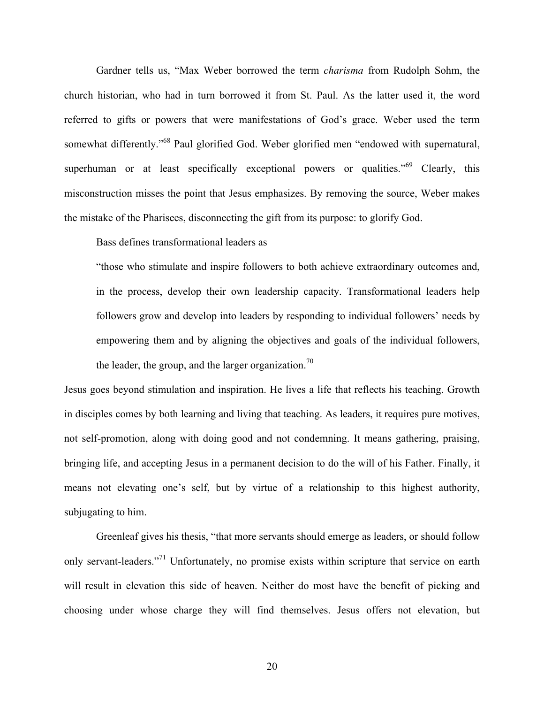Gardner tells us, "Max Weber borrowed the term *charisma* from Rudolph Sohm, the church historian, who had in turn borrowed it from St. Paul. As the latter used it, the word referred to gifts or powers that were manifestations of God's grace. Weber used the term somewhat differently."68 Paul glorified God. Weber glorified men "endowed with supernatural, superhuman or at least specifically exceptional powers or qualities."<sup>69</sup> Clearly, this misconstruction misses the point that Jesus emphasizes. By removing the source, Weber makes the mistake of the Pharisees, disconnecting the gift from its purpose: to glorify God.

Bass defines transformational leaders as

"those who stimulate and inspire followers to both achieve extraordinary outcomes and, in the process, develop their own leadership capacity. Transformational leaders help followers grow and develop into leaders by responding to individual followers' needs by empowering them and by aligning the objectives and goals of the individual followers, the leader, the group, and the larger organization.<sup>70</sup>

Jesus goes beyond stimulation and inspiration. He lives a life that reflects his teaching. Growth in disciples comes by both learning and living that teaching. As leaders, it requires pure motives, not self-promotion, along with doing good and not condemning. It means gathering, praising, bringing life, and accepting Jesus in a permanent decision to do the will of his Father. Finally, it means not elevating one's self, but by virtue of a relationship to this highest authority, subjugating to him.

Greenleaf gives his thesis, "that more servants should emerge as leaders, or should follow only servant-leaders."<sup>71</sup> Unfortunately, no promise exists within scripture that service on earth will result in elevation this side of heaven. Neither do most have the benefit of picking and choosing under whose charge they will find themselves. Jesus offers not elevation, but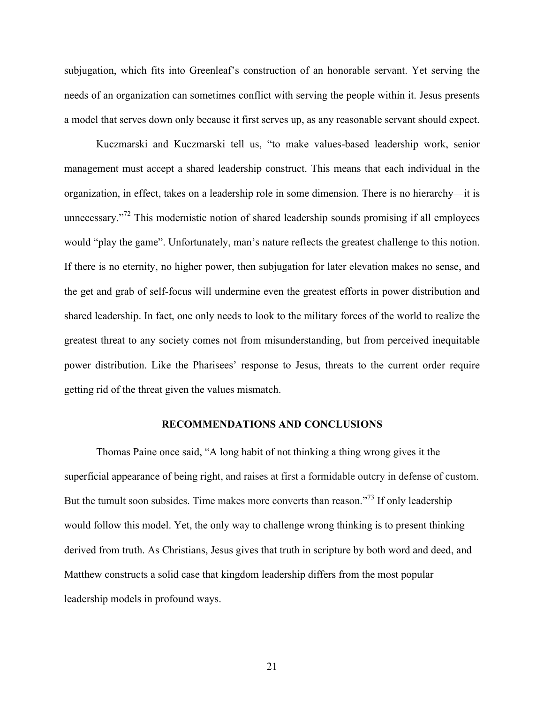subjugation, which fits into Greenleaf's construction of an honorable servant. Yet serving the needs of an organization can sometimes conflict with serving the people within it. Jesus presents a model that serves down only because it first serves up, as any reasonable servant should expect.

Kuczmarski and Kuczmarski tell us, "to make values-based leadership work, senior management must accept a shared leadership construct. This means that each individual in the organization, in effect, takes on a leadership role in some dimension. There is no hierarchy—it is unnecessary.<sup>"72</sup> This modernistic notion of shared leadership sounds promising if all employees would "play the game". Unfortunately, man's nature reflects the greatest challenge to this notion. If there is no eternity, no higher power, then subjugation for later elevation makes no sense, and the get and grab of self-focus will undermine even the greatest efforts in power distribution and shared leadership. In fact, one only needs to look to the military forces of the world to realize the greatest threat to any society comes not from misunderstanding, but from perceived inequitable power distribution. Like the Pharisees' response to Jesus, threats to the current order require getting rid of the threat given the values mismatch.

### **RECOMMENDATIONS AND CONCLUSIONS**

Thomas Paine once said, "A long habit of not thinking a thing wrong gives it the superficial appearance of being right, and raises at first a formidable outcry in defense of custom. But the tumult soon subsides. Time makes more converts than reason."<sup>73</sup> If only leadership would follow this model. Yet, the only way to challenge wrong thinking is to present thinking derived from truth. As Christians, Jesus gives that truth in scripture by both word and deed, and Matthew constructs a solid case that kingdom leadership differs from the most popular leadership models in profound ways.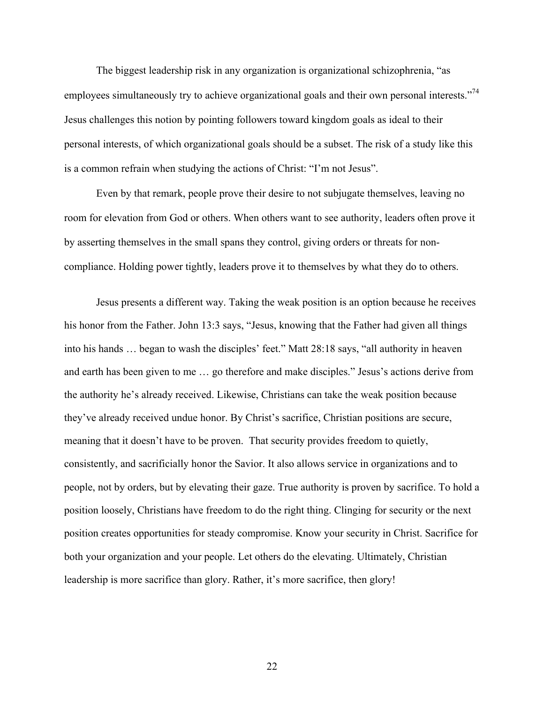The biggest leadership risk in any organization is organizational schizophrenia, "as employees simultaneously try to achieve organizational goals and their own personal interests."<sup>74</sup> Jesus challenges this notion by pointing followers toward kingdom goals as ideal to their personal interests, of which organizational goals should be a subset. The risk of a study like this is a common refrain when studying the actions of Christ: "I'm not Jesus".

Even by that remark, people prove their desire to not subjugate themselves, leaving no room for elevation from God or others. When others want to see authority, leaders often prove it by asserting themselves in the small spans they control, giving orders or threats for noncompliance. Holding power tightly, leaders prove it to themselves by what they do to others.

Jesus presents a different way. Taking the weak position is an option because he receives his honor from the Father. John 13:3 says, "Jesus, knowing that the Father had given all things into his hands … began to wash the disciples' feet." Matt 28:18 says, "all authority in heaven and earth has been given to me … go therefore and make disciples." Jesus's actions derive from the authority he's already received. Likewise, Christians can take the weak position because they've already received undue honor. By Christ's sacrifice, Christian positions are secure, meaning that it doesn't have to be proven. That security provides freedom to quietly, consistently, and sacrificially honor the Savior. It also allows service in organizations and to people, not by orders, but by elevating their gaze. True authority is proven by sacrifice. To hold a position loosely, Christians have freedom to do the right thing. Clinging for security or the next position creates opportunities for steady compromise. Know your security in Christ. Sacrifice for both your organization and your people. Let others do the elevating. Ultimately, Christian leadership is more sacrifice than glory. Rather, it's more sacrifice, then glory!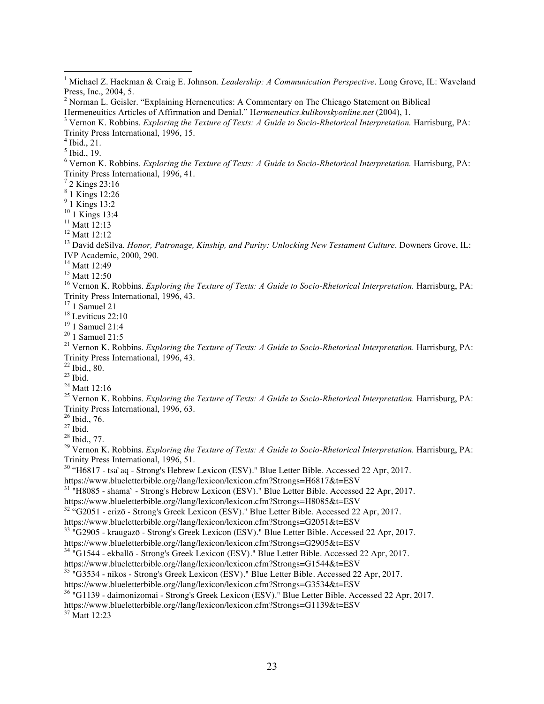$<sup>5</sup>$  Ibid., 19.</sup>

<sup>8</sup> 1 Kings 12:26

 $^{9}$  1 Kings 13:2<br><sup>10</sup> 1 Kings 13:4

<sup>11</sup> Matt 12:13<br><sup>12</sup> Matt 12:12<br><sup>13</sup> David deSilva. *Honor, Patronage, Kinship, and Purity: Unlocking New Testament Culture. Downers Grove, IL:* IVP Academic, 2000, 290.

<sup>15</sup> Matt 12:50<br><sup>16</sup> Vernon K. Robbins. *Exploring the Texture of Texts: A Guide to Socio-Rhetorical Interpretation. Harrisburg, PA:* 

Trinity Press International, 1996, 43.<br>
<sup>17</sup> 1 Samuel 21<br>
<sup>18</sup> Leviticus 22:10<br>
<sup>19</sup> 1 Samuel 21:4<br>
<sup>20</sup> 1 Samuel 21:5<br>
<sup>20</sup> 1 Samuel 21:5<br>
<sup>21</sup> Vernon K. Robbins. *Exploring the Texture of Texts: A Guide to Socio-Rhetori* 

<sup>22</sup> Ibid., 80.<br><sup>23</sup> Ibid.<br><sup>24</sup> Matt 12:16<br><sup>25</sup> Vernon K. Robbins. *Exploring the Texture of Texts: A Guide to Socio-Rhetorical Interpretation*. Harrisburg, PA:<br><sup>26</sup> Ibid., 76.

<sup>27</sup> Ibid.<br><sup>28</sup> Ibid., 77.<br><sup>29</sup> Vernon K. Robbins. *Exploring the Texture of Texts: A Guide to Socio-Rhetorical Interpretation. Harrisburg, PA:* Trinity Press International, 1996, 51.

<sup>30</sup> "H6817 - tsa`aq - Strong's Hebrew Lexicon (ESV)." Blue Letter Bible. Accessed 22 Apr, 2017.

https://www.blueletterbible.org//lang/lexicon/lexicon.cfm?Strongs=H6817&t=ESV

<sup>31</sup> "H8085 - shama` - Strong's Hebrew Lexicon (ESV)." Blue Letter Bible. Accessed 22 Apr, 2017.

https://www.blueletterbible.org//lang/lexicon/lexicon.cfm?Strongs=H8085&t=ESV

 $32 \text{ }\text{``G2051 -}$  erizō - Strong's Greek Lexicon (ESV)." Blue Letter Bible. Accessed 22 Apr, 2017.<br>https://www.blueletterbible.org//lang/lexicon/lexicon.cfm?Strongs=G2051&t=ESV

<sup>33 "</sup>G2905 - kraugazō - Strong's Greek Lexicon (ESV)." Blue Letter Bible. Accessed 22 Apr, 2017.

https://www.blueletterbible.org//lang/lexicon/lexicon.cfm?Strongs=G2905&t=ESV

<sup>34</sup> "G1544 - ekballō - Strong's Greek Lexicon (ESV)." Blue Letter Bible. Accessed 22 Apr, 2017.

https://www.blueletterbible.org//lang/lexicon/lexicon.cfm?Strongs=G1544&t=ESV

<sup>35</sup> "G3534 - nikos - Strong's Greek Lexicon (ESV)." Blue Letter Bible. Accessed 22 Apr, 2017.

https://www.blueletterbible.org//lang/lexicon/lexicon.cfm?Strongs=G3534&t=ESV

<sup>36</sup> "G1139 - daimonizomai - Strong's Greek Lexicon (ESV)." Blue Letter Bible. Accessed 22 Apr, 2017.

https://www.blueletterbible.org//lang/lexicon/lexicon.cfm?Strongs=G1139&t=ESV

<sup>37</sup> Matt 12:23

 <sup>1</sup> Michael Z. Hackman & Craig E. Johnson. *Leadership: A Communication Perspective*. Long Grove, IL: Waveland Press, Inc., 2004, 5.

 $2$  Norman L. Geisler. "Explaining Herneneutics: A Commentary on The Chicago Statement on Biblical Hermeneutics Articles of Affirmation and Denial." Hermeneutics. kulikovskyonline.net (2004), 1.

<sup>&</sup>lt;sup>3</sup> Vernon K. Robbins. Exploring the Texture of Texts: A Guide to Socio-Rhetorical Interpretation. Harrisburg, PA: Trinity Press International, 1996, 15.<br><sup>4</sup> Ibid., 21.

<sup>&</sup>lt;sup>6</sup> Vernon K. Robbins. *Exploring the Texture of Texts: A Guide to Socio-Rhetorical Interpretation*. Harrisburg, PA: Trinity Press International, 1996, 41.<br><sup>7</sup> 2 Kings 23:16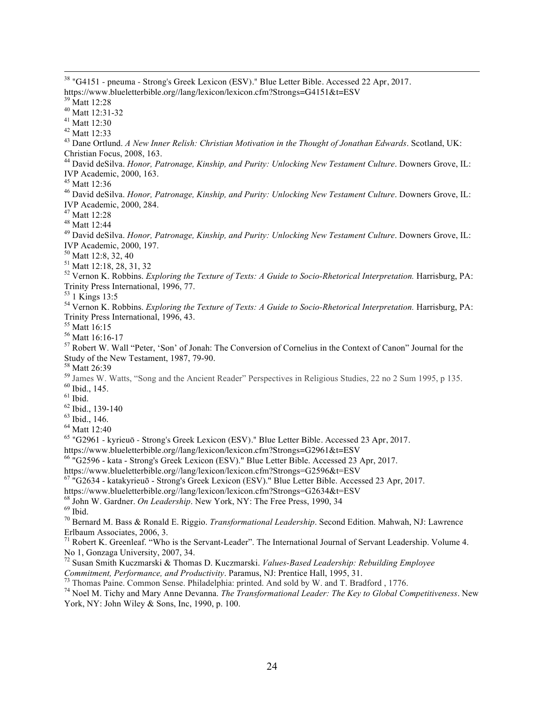38 "G4151 - pneuma - Strong's Greek Lexicon (ESV)." Blue Letter Bible. Accessed 22 Apr, 2017. https://www.blueletterbible.org//lang/lexicon/lexicon.cfm?Strongs=G4151&t=ESV<br><sup>39</sup> Matt 12:28<br><sup>40</sup> Matt 12:31-32<br><sup>41</sup> Matt 12:30<br><sup>42</sup> Matt 12:33<br><sup>43</sup> Dane Ortlund. *A New Inner Relish: Christian Motivation in the Thought o* 

Christian Focus, 2008, 163.

<sup>44</sup> David deSilva. *Honor, Patronage, Kinship, and Purity: Unlocking New Testament Culture*. Downers Grove, IL: IVP Academic, 2000, 163.

<sup>45</sup> Matt 12:36<br><sup>46</sup> David deSilva. *Honor, Patronage, Kinship, and Purity: Unlocking New Testament Culture. Downers Grove, IL:* IVP Academic, 2000, 284.<br><sup>47</sup> Matt 12:28

<sup>47</sup> Matt 12:28 <sup>48</sup> Matt 12:44 <sup>49</sup> David deSilva. *Honor, Patronage, Kinship, and Purity: Unlocking New Testament Culture*. Downers Grove, IL: IVP Academic, 2000, 197.<br><sup>50</sup> Matt 12:8, 32, 40

<sup>51</sup> Matt 12:18, 28, 31, 32<br><sup>52</sup> Vernon K. Robbins. *Exploring the Texture of Texts: A Guide to Socio-Rhetorical Interpretation*. Harrisburg, PA:<br><sup>52</sup> Vernon K. Robbins. *Exploring the Texture of Texts: A Guide to Socio-Rh* 

<sup>54</sup> Vernon K. Robbins. *Exploring the Texture of Texts: A Guide to Socio-Rhetorical Interpretation*. Harrisburg, PA:

Trinity Press International, 1996, 43.<br><sup>55</sup> Matt 16:15<br><sup>56</sup> Matt 16:16-17<br><sup>57</sup> Robert W. Wall "Peter, 'Son' of Jonah: The Conversion of Cornelius in the Context of Canon" Journal for the<br>Study of the New Testament, 1987, 7

<sup>58</sup> Matt 26:39<br><sup>59</sup> James W. Watts, "Song and the Ancient Reader" Perspectives in Religious Studies, 22 no 2 Sum 1995, p 135.<br><sup>60</sup> Ibid., 145.<br><sup>61</sup> Ibid., 139-140<br><sup>62</sup> Ibid., 139-140<br><sup>63</sup> Ibid., 146.<br><sup>64</sup> Matt 12:40

<sup>65</sup> "G2961 - kyrieuō - Strong's Greek Lexicon (ESV)." Blue Letter Bible. Accessed 23 Apr, 2017.

https://www.blueletterbible.org//lang/lexicon/lexicon.cfm?Strongs=G2961&t=ESV

<sup>66</sup> "G2596 - kata - Strong's Greek Lexicon (ESV)." Blue Letter Bible. Accessed 23 Apr, 2017.

https://www.blueletterbible.org//lang/lexicon/lexicon.cfm?Strongs=G2596&t=ESV

 $67$  "G2634 - katakyrieuō - Strong's Greek Lexicon (ESV)." Blue Letter Bible. Accessed 23 Apr, 2017.<br>https://www.blueletterbible.org//lang/lexicon/lexicon.cfm?Strongs=G2634&t=ESV

<sup>68</sup> John W. Gardner. *On Leadership*. New York, NY: The Free Press, 1990, 34<br><sup>69</sup> Ibid.<br><sup>70</sup> Bernard M. Bass & Ronald E. Riggio. *Transformational Leadership*. Second Edition. Mahwah, NJ: Lawrence Erlbaum Associates, 2006, 3.

<sup>71</sup> Robert K. Greenleaf. "Who is the Servant-Leader". The International Journal of Servant Leadership. Volume 4. No 1, Gonzaga University, 2007, 34.

<sup>72</sup> Susan Smith Kuczmarski & Thomas D. Kuczmarski. *Values-Based Leadership: Rebuilding Employee* 

Commitment, Performance, and Productivity. Paramus, NJ: Prentice Hall, 1995, 31.<br>
Thomas Paine. Common Sense. Philadelphia: printed. And sold by W. and T. Bradford , 1776.<br>
<sup>73</sup> Novel M. Tichy and Mary Anne Devanna. *The T* York, NY: John Wiley & Sons, Inc, 1990, p. 100.